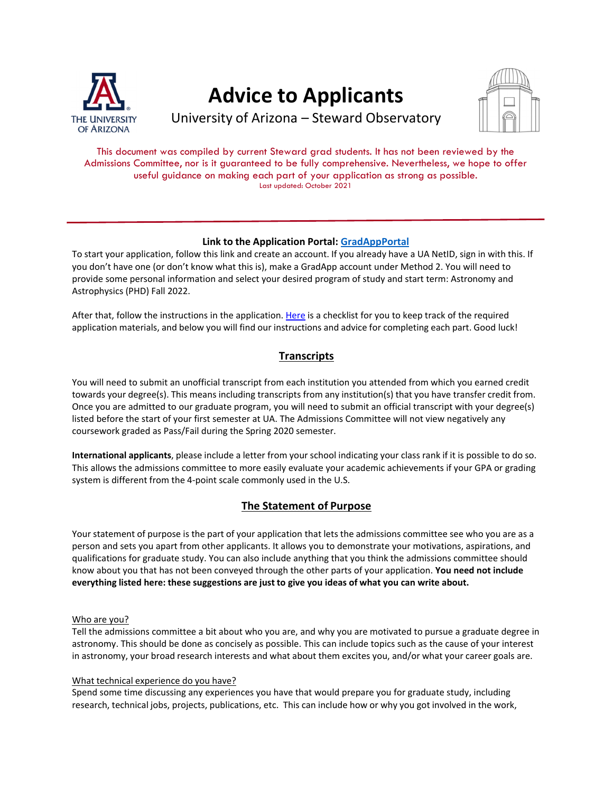

# **Advice to Applicants**



University of Arizona – Steward Observatory

This document was compiled by current Steward grad students. It has not been reviewed by the Admissions Committee, nor is it guaranteed to be fully comprehensive. Nevertheless, we hope to offer useful guidance on making each part of your application as strong as possible. Last updated: October 2021

# **Link to the Application Portal: GradAppPortal**

To start your application, follow this link and create an account. If you already have a UA NetID, sign in with this. If you don't have one (or don't know what this is), make a GradApp account under Method 2. You will need to provide some personal information and select your desired program of study and start term: Astronomy and Astrophysics (PHD) Fall 2022.

After that, follow the instructions in the application. Here is a checklist for you to keep track of the required application materials, and below you will find our instructions and advice for completing each part. Good luck!

# **Transcripts**

You will need to submit an unofficial transcript from each institution you attended from which you earned credit towards your degree(s). This means including transcripts from any institution(s) that you have transfer credit from. Once you are admitted to our graduate program, you will need to submit an official transcript with your degree(s) listed before the start of your first semester at UA. The Admissions Committee will not view negatively any coursework graded as Pass/Fail during the Spring 2020 semester.

**International applicants**, please include a letter from your school indicating your class rank if it is possible to do so. This allows the admissions committee to more easily evaluate your academic achievements if your GPA or grading system is different from the 4‐point scale commonly used in the U.S.

# **The Statement of Purpose**

Your statement of purpose is the part of your application that lets the admissions committee see who you are as a person and sets you apart from other applicants. It allows you to demonstrate your motivations, aspirations, and qualifications for graduate study. You can also include anything that you think the admissions committee should know about you that has not been conveyed through the other parts of your application. **You need not include everything listed here: these suggestions are just to give you ideas of what you can write about.**

## Who are you?

Tell the admissions committee a bit about who you are, and why you are motivated to pursue a graduate degree in astronomy. This should be done as concisely as possible. This can include topics such as the cause of your interest in astronomy, your broad research interests and what about them excites you, and/or what your career goals are.

## What technical experience do you have?

Spend some time discussing any experiences you have that would prepare you for graduate study, including research, technical jobs, projects, publications, etc. This can include how or why you got involved in the work,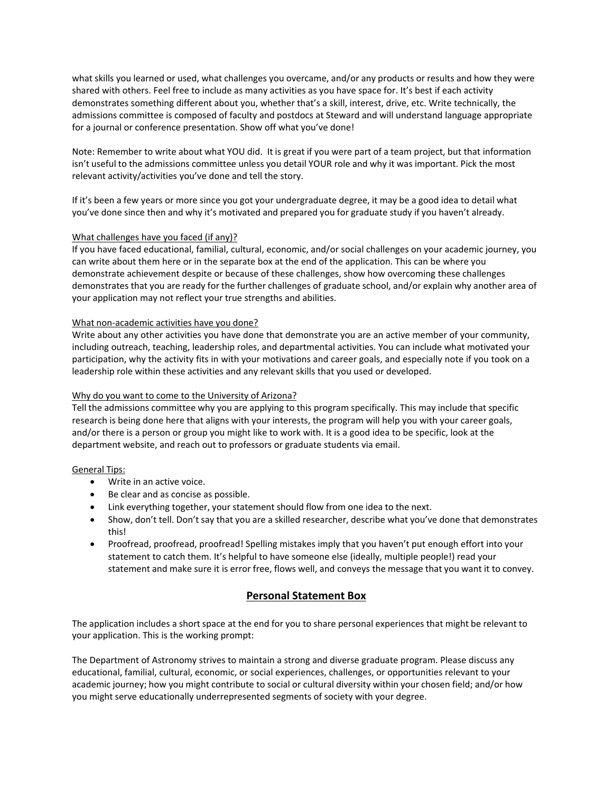what skills you learned or used, what challenges you overcame, and/or any products or results and how they were shared with others. Feel free to include as many activities as you have space for. It's best if each activity demonstrates something different about you, whether that's a skill, interest, drive, etc. Write technically, the admissions committee is composed of faculty and postdocs at Steward and will understand language appropriate for a journal or conference presentation. Show off what you've done!

Note: Remember to write about what YOU did. It is great if you were part of a team project, but that information isn't useful to the admissions committee unless you detail YOUR role and why it was important. Pick the most relevant activity/activities you've done and tell the story.

If it's been a few years or more since you got your undergraduate degree, it may be a good idea to detail what you've done since then and why it's motivated and prepared you for graduate study if you haven't already.

#### What challenges have you faced (if any)?

If you have faced educational, familial, cultural, economic, and/or social challenges on your academic journey, you can write about them here or in the separate box at the end of the application. This can be where you demonstrate achievement despite or because of these challenges, show how overcoming these challenges demonstrates that you are ready for the further challenges of graduate school, and/or explain why another area of your application may not reflect your true strengths and abilities.

#### What non‐academic activities have you done?

Write about any other activities you have done that demonstrate you are an active member of your community, including outreach, teaching, leadership roles, and departmental activities. You can include what motivated your participation, why the activity fits in with your motivations and career goals, and especially note if you took on a leadership role within these activities and any relevant skills that you used or developed.

#### Why do you want to come to the University of Arizona?

Tell the admissions committee why you are applying to this program specifically. This may include that specific research is being done here that aligns with your interests, the program will help you with your career goals, and/or there is a person or group you might like to work with. It is a good idea to be specific, look at the department website, and reach out to professors or graduate students via email.

#### General Tips:

- Write in an active voice.
- Be clear and as concise as possible.
- Link everything together, your statement should flow from one idea to the next.
- Show, don't tell. Don't say that you are a skilled researcher, describe what you've done that demonstrates this!
- Proofread, proofread, proofread! Spelling mistakes imply that you haven't put enough effort into your statement to catch them. It's helpful to have someone else (ideally, multiple people!) read your statement and make sure it is error free, flows well, and conveys the message that you want it to convey.

## **Personal Statement Box**

The application includes a short space at the end for you to share personal experiences that might be relevant to your application. This is the working prompt:

The Department of Astronomy strives to maintain a strong and diverse graduate program. Please discuss any educational, familial, cultural, economic, or social experiences, challenges, or opportunities relevant to your academic journey; how you might contribute to social or cultural diversity within your chosen field; and/or how you might serve educationally underrepresented segments of society with your degree.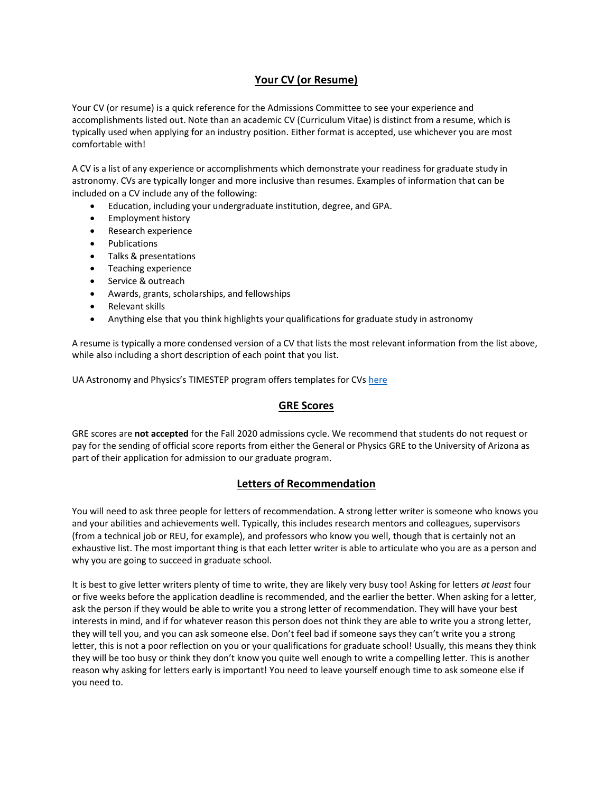# **Your CV (or Resume)**

Your CV (or resume) is a quick reference for the Admissions Committee to see your experience and accomplishments listed out. Note than an academic CV (Curriculum Vitae) is distinct from a resume, which is typically used when applying for an industry position. Either format is accepted, use whichever you are most comfortable with!

A CV is a list of any experience or accomplishments which demonstrate your readiness for graduate study in astronomy. CVs are typically longer and more inclusive than resumes. Examples of information that can be included on a CV include any of the following:

- Education, including your undergraduate institution, degree, and GPA.
- Employment history
- Research experience
- Publications
- Talks & presentations
- Teaching experience
- Service & outreach
- Awards, grants, scholarships, and fellowships
- Relevant skills
- Anything else that you think highlights your qualifications for graduate study in astronomy

A resume is typically a more condensed version of a CV that lists the most relevant information from the list above, while also including a short description of each point that you list.

UA Astronomy and Physics's TIMESTEP program offers templates for CVs here

## **GRE Scores**

GRE scores are **not accepted** for the Fall 2020 admissions cycle. We recommend that students do not request or pay for the sending of official score reports from either the General or Physics GRE to the University of Arizona as part of their application for admission to our graduate program.

## **Letters of Recommendation**

You will need to ask three people for letters of recommendation. A strong letter writer is someone who knows you and your abilities and achievements well. Typically, this includes research mentors and colleagues, supervisors (from a technical job or REU, for example), and professors who know you well, though that is certainly not an exhaustive list. The most important thing is that each letter writer is able to articulate who you are as a person and why you are going to succeed in graduate school.

It is best to give letter writers plenty of time to write, they are likely very busy too! Asking for letters *at least* four or five weeks before the application deadline is recommended, and the earlier the better. When asking for a letter, ask the person if they would be able to write you a strong letter of recommendation. They will have your best interests in mind, and if for whatever reason this person does not think they are able to write you a strong letter, they will tell you, and you can ask someone else. Don't feel bad if someone says they can't write you a strong letter, this is not a poor reflection on you or your qualifications for graduate school! Usually, this means they think they will be too busy or think they don't know you quite well enough to write a compelling letter. This is another reason why asking for letters early is important! You need to leave yourself enough time to ask someone else if you need to.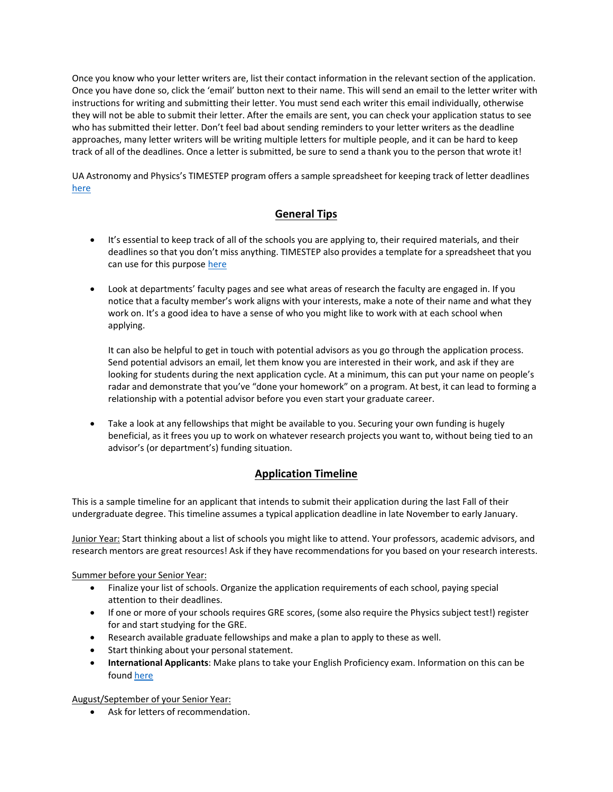Once you know who your letter writers are, list their contact information in the relevantsection of the application. Once you have done so, click the 'email' button next to their name. This will send an email to the letter writer with instructions for writing and submitting their letter. You must send each writer this email individually, otherwise they will not be able to submit their letter. After the emails are sent, you can check your application status to see who has submitted their letter. Don't feel bad about sending reminders to your letter writers as the deadline approaches, many letter writers will be writing multiple letters for multiple people, and it can be hard to keep track of all of the deadlines. Once a letter is submitted, be sure to send a thank you to the person that wrote it!

UA Astronomy and Physics's TIMESTEP program offers a sample spreadsheet for keeping track of letter deadlines here

# **General Tips**

- It's essential to keep track of all of the schools you are applying to, their required materials, and their deadlines so that you don't miss anything. TIMESTEP also provides a template for a spreadsheet that you can use for this purpose here
- Look at departments' faculty pages and see what areas of research the faculty are engaged in. If you notice that a faculty member's work aligns with your interests, make a note of their name and what they work on. It's a good idea to have a sense of who you might like to work with at each school when applying.

It can also be helpful to get in touch with potential advisors as you go through the application process. Send potential advisors an email, let them know you are interested in their work, and ask if they are looking for students during the next application cycle. At a minimum, this can put your name on people's radar and demonstrate that you've "done your homework" on a program. At best, it can lead to forming a relationship with a potential advisor before you even start your graduate career.

 Take a look at any fellowships that might be available to you. Securing your own funding is hugely beneficial, as it frees you up to work on whatever research projects you want to, without being tied to an advisor's (or department's) funding situation.

# **Application Timeline**

This is a sample timeline for an applicant that intends to submit their application during the last Fall of their undergraduate degree. This timeline assumes a typical application deadline in late November to early January.

Junior Year: Start thinking about a list of schools you might like to attend. Your professors, academic advisors, and research mentors are great resources! Ask if they have recommendations for you based on your research interests.

## Summer before your Senior Year:

- Finalize your list of schools. Organize the application requirements of each school, paying special attention to their deadlines.
- If one or more of your schools requires GRE scores, (some also require the Physics subject test!) register for and start studying for the GRE.
- Research available graduate fellowships and make a plan to apply to these as well.
- Start thinking about your personal statement.
- **International Applicants**: Make plans to take your English Proficiency exam. Information on this can be found here

August/September of your Senior Year:

Ask for letters of recommendation.